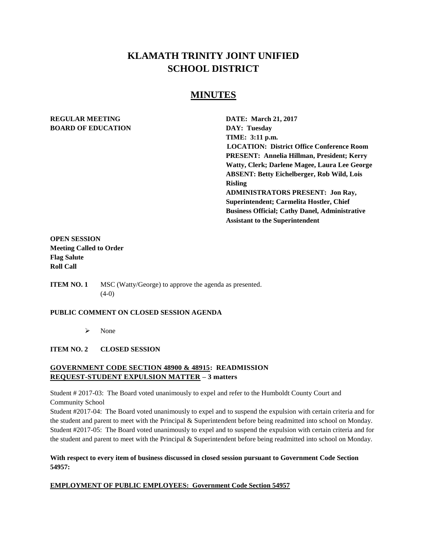# **KLAMATH TRINITY JOINT UNIFIED SCHOOL DISTRICT**

# **MINUTES**

## **REGULAR MEETING DATE: March 21, 2017 BOARD OF EDUCATION DAY: Tuesday**

**TIME: 3:11 p.m. LOCATION: District Office Conference Room PRESENT: Annelia Hillman, President; Kerry Watty, Clerk; Darlene Magee, Laura Lee George ABSENT: Betty Eichelberger, Rob Wild, Lois Risling ADMINISTRATORS PRESENT: Jon Ray, Superintendent; Carmelita Hostler, Chief Business Official; Cathy Danel, Administrative Assistant to the Superintendent** 

## **OPEN SESSION Meeting Called to Order Flag Salute Roll Call**

**ITEM NO. 1** MSC (Watty/George) to approve the agenda as presented. (4-0)

#### **PUBLIC COMMENT ON CLOSED SESSION AGENDA**

 $\triangleright$  None

#### **ITEM NO. 2 CLOSED SESSION**

## **GOVERNMENT CODE SECTION 48900 & 48915: READMISSION REQUEST-STUDENT EXPULSION MATTER – 3 matters**

Student # 2017-03: The Board voted unanimously to expel and refer to the Humboldt County Court and Community School

Student #2017-04: The Board voted unanimously to expel and to suspend the expulsion with certain criteria and for the student and parent to meet with the Principal & Superintendent before being readmitted into school on Monday. Student #2017-05: The Board voted unanimously to expel and to suspend the expulsion with certain criteria and for the student and parent to meet with the Principal & Superintendent before being readmitted into school on Monday.

**With respect to every item of business discussed in closed session pursuant to Government Code Section 54957:**

#### **EMPLOYMENT OF PUBLIC EMPLOYEES: Government Code Section 54957**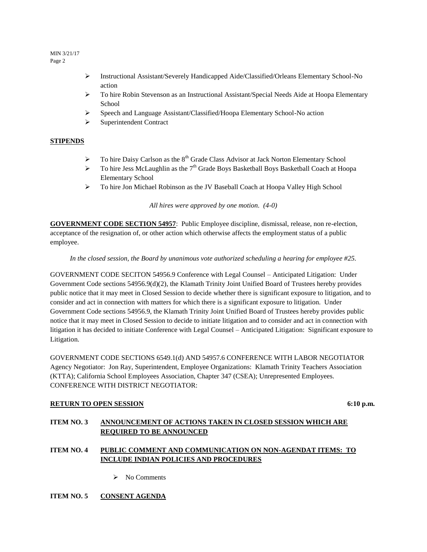- Instructional Assistant/Severely Handicapped Aide/Classified/Orleans Elementary School-No action
- To hire Robin Stevenson as an Instructional Assistant/Special Needs Aide at Hoopa Elementary School
- $\triangleright$  Speech and Language Assistant/Classified/Hoopa Elementary School-No action
- $\triangleright$  Superintendent Contract

## **STIPENDS**

- $\triangleright$  To hire Daisy Carlson as the 8<sup>th</sup> Grade Class Advisor at Jack Norton Elementary School
- $\triangleright$  To hire Jess McLaughlin as the 7<sup>th</sup> Grade Boys Basketball Boys Basketball Coach at Hoopa Elementary School
- To hire Jon Michael Robinson as the JV Baseball Coach at Hoopa Valley High School

*All hires were approved by one motion. (4-0)*

**GOVERNMENT CODE SECTION 54957**: Public Employee discipline, dismissal, release, non re-election, acceptance of the resignation of, or other action which otherwise affects the employment status of a public employee.

#### *In the closed session, the Board by unanimous vote authorized scheduling a hearing for employee #25.*

GOVERNMENT CODE SECITON 54956.9 Conference with Legal Counsel – Anticipated Litigation: Under Government Code sections 54956.9(d)(2), the Klamath Trinity Joint Unified Board of Trustees hereby provides public notice that it may meet in Closed Session to decide whether there is significant exposure to litigation, and to consider and act in connection with matters for which there is a significant exposure to litigation. Under Government Code sections 54956.9, the Klamath Trinity Joint Unified Board of Trustees hereby provides public notice that it may meet in Closed Session to decide to initiate litigation and to consider and act in connection with litigation it has decided to initiate Conference with Legal Counsel – Anticipated Litigation: Significant exposure to Litigation.

GOVERNMENT CODE SECTIONS 6549.1(d) AND 54957.6 CONFERENCE WITH LABOR NEGOTIATOR Agency Negotiator: Jon Ray, Superintendent, Employee Organizations: Klamath Trinity Teachers Association (KTTA); California School Employees Association, Chapter 347 (CSEA); Unrepresented Employees. CONFERENCE WITH DISTRICT NEGOTIATOR:

#### **RETURN TO OPEN SESSION** 6:10 **p.m.**

## **ITEM NO. 3 ANNOUNCEMENT OF ACTIONS TAKEN IN CLOSED SESSION WHICH ARE REQUIRED TO BE ANNOUNCED**

## **ITEM NO. 4 PUBLIC COMMENT AND COMMUNICATION ON NON-AGENDAT ITEMS: TO INCLUDE INDIAN POLICIES AND PROCEDURES**

 $\triangleright$  No Comments

## **ITEM NO. 5 CONSENT AGENDA**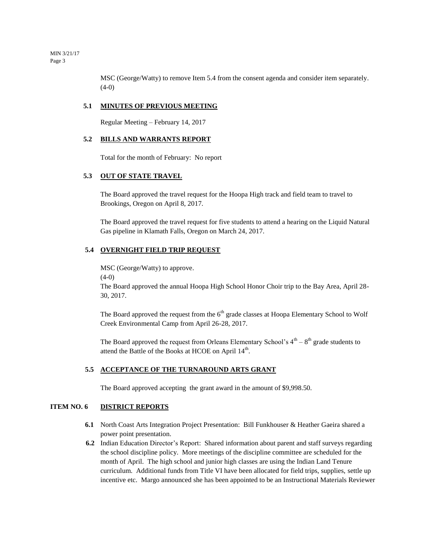MSC (George/Watty) to remove Item 5.4 from the consent agenda and consider item separately.  $(4-0)$ 

#### **5.1 MINUTES OF PREVIOUS MEETING**

Regular Meeting – February 14, 2017

#### **5.2 BILLS AND WARRANTS REPORT**

Total for the month of February: No report

#### **5.3 OUT OF STATE TRAVEL**

The Board approved the travel request for the Hoopa High track and field team to travel to Brookings, Oregon on April 8, 2017.

The Board approved the travel request for five students to attend a hearing on the Liquid Natural Gas pipeline in Klamath Falls, Oregon on March 24, 2017.

#### **5.4 OVERNIGHT FIELD TRIP REQUEST**

MSC (George/Watty) to approve.

 $(4-0)$ 

The Board approved the annual Hoopa High School Honor Choir trip to the Bay Area, April 28- 30, 2017.

The Board approved the request from the  $6<sup>th</sup>$  grade classes at Hoopa Elementary School to Wolf Creek Environmental Camp from April 26-28, 2017.

The Board approved the request from Orleans Elementary School's  $4<sup>th</sup> - 8<sup>th</sup>$  grade students to attend the Battle of the Books at HCOE on April  $14<sup>th</sup>$ .

#### **5.5 ACCEPTANCE OF THE TURNAROUND ARTS GRANT**

The Board approved accepting the grant award in the amount of \$9,998.50.

#### **ITEM NO. 6 DISTRICT REPORTS**

- **6.1** North Coast Arts Integration Project Presentation: Bill Funkhouser & Heather Gaeira shared a power point presentation.
- **6.2** Indian Education Director's Report: Shared information about parent and staff surveys regarding the school discipline policy. More meetings of the discipline committee are scheduled for the month of April. The high school and junior high classes are using the Indian Land Tenure curriculum. Additional funds from Title VI have been allocated for field trips, supplies, settle up incentive etc. Margo announced she has been appointed to be an Instructional Materials Reviewer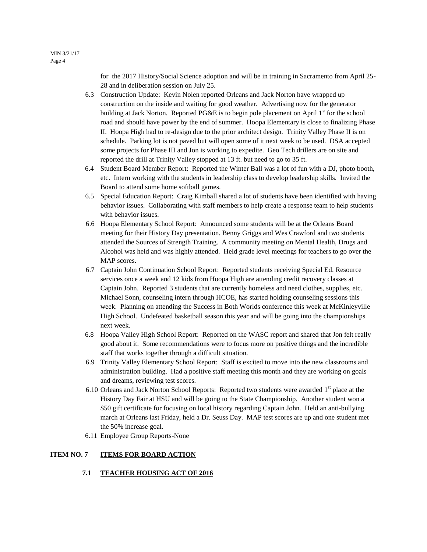> for the 2017 History/Social Science adoption and will be in training in Sacramento from April 25- 28 and in deliberation session on July 25.

- 6.3 Construction Update: Kevin Nolen reported Orleans and Jack Norton have wrapped up construction on the inside and waiting for good weather. Advertising now for the generator building at Jack Norton. Reported PG&E is to begin pole placement on April  $1<sup>st</sup>$  for the school road and should have power by the end of summer. Hoopa Elementary is close to finalizing Phase II. Hoopa High had to re-design due to the prior architect design. Trinity Valley Phase II is on schedule. Parking lot is not paved but will open some of it next week to be used. DSA accepted some projects for Phase III and Jon is working to expedite. Geo Tech drillers are on site and reported the drill at Trinity Valley stopped at 13 ft. but need to go to 35 ft.
- 6.4 Student Board Member Report: Reported the Winter Ball was a lot of fun with a DJ, photo booth, etc. Intern working with the students in leadership class to develop leadership skills. Invited the Board to attend some home softball games.
- 6.5 Special Education Report: Craig Kimball shared a lot of students have been identified with having behavior issues. Collaborating with staff members to help create a response team to help students with behavior issues.
- 6.6 Hoopa Elementary School Report: Announced some students will be at the Orleans Board meeting for their History Day presentation. Benny Griggs and Wes Crawford and two students attended the Sources of Strength Training. A community meeting on Mental Health, Drugs and Alcohol was held and was highly attended. Held grade level meetings for teachers to go over the MAP scores.
- 6.7 Captain John Continuation School Report: Reported students receiving Special Ed. Resource services once a week and 12 kids from Hoopa High are attending credit recovery classes at Captain John. Reported 3 students that are currently homeless and need clothes, supplies, etc. Michael Sonn, counseling intern through HCOE, has started holding counseling sessions this week. Planning on attending the Success in Both Worlds conference this week at McKinleyville High School. Undefeated basketball season this year and will be going into the championships next week.
- 6.8 Hoopa Valley High School Report: Reported on the WASC report and shared that Jon felt really good about it. Some recommendations were to focus more on positive things and the incredible staff that works together through a difficult situation.
- 6.9 Trinity Valley Elementary School Report: Staff is excited to move into the new classrooms and administration building. Had a positive staff meeting this month and they are working on goals and dreams, reviewing test scores.
- 6.10 Orleans and Jack Norton School Reports: Reported two students were awarded 1<sup>st</sup> place at the History Day Fair at HSU and will be going to the State Championship. Another student won a \$50 gift certificate for focusing on local history regarding Captain John. Held an anti-bullying march at Orleans last Friday, held a Dr. Seuss Day. MAP test scores are up and one student met the 50% increase goal.
- 6.11 Employee Group Reports-None

#### **ITEM NO. 7 ITEMS FOR BOARD ACTION**

 **7.1 TEACHER HOUSING ACT OF 2016**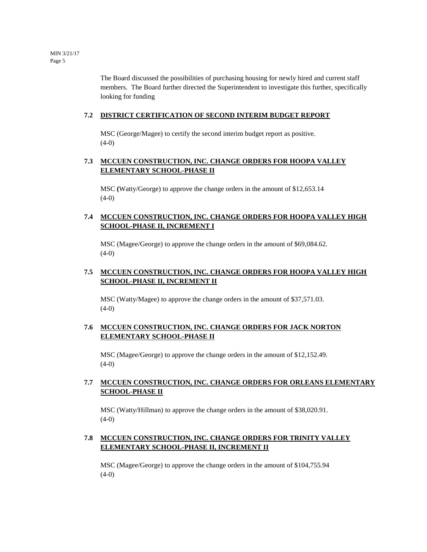The Board discussed the possibilities of purchasing housing for newly hired and current staff members. The Board further directed the Superintendent to investigate this further, specifically looking for funding

## **7.2 DISTRICT CERTIFICATION OF SECOND INTERIM BUDGET REPORT**

MSC (George/Magee) to certify the second interim budget report as positive.  $(4-0)$ 

## **7.3 MCCUEN CONSTRUCTION, INC. CHANGE ORDERS FOR HOOPA VALLEY ELEMENTARY SCHOOL-PHASE II**

MSC **(**Watty/George) to approve the change orders in the amount of \$12,653.14  $(4-0)$ 

## **7.4 MCCUEN CONSTRUCTION, INC. CHANGE ORDERS FOR HOOPA VALLEY HIGH SCHOOL-PHASE II, INCREMENT I**

MSC (Magee/George) to approve the change orders in the amount of \$69,084.62. (4-0)

## **7.5 MCCUEN CONSTRUCTION, INC. CHANGE ORDERS FOR HOOPA VALLEY HIGH SCHOOL-PHASE II, INCREMENT II**

MSC (Watty/Magee) to approve the change orders in the amount of \$37,571.03.  $(4-0)$ 

## **7.6 MCCUEN CONSTRUCTION, INC. CHANGE ORDERS FOR JACK NORTON ELEMENTARY SCHOOL-PHASE II**

MSC (Magee/George) to approve the change orders in the amount of \$12,152.49. (4-0)

## **7.7 MCCUEN CONSTRUCTION, INC. CHANGE ORDERS FOR ORLEANS ELEMENTARY SCHOOL-PHASE II**

MSC (Watty/Hillman) to approve the change orders in the amount of \$38,020.91.  $(4-0)$ 

## **7.8 MCCUEN CONSTRUCTION, INC. CHANGE ORDERS FOR TRINITY VALLEY ELEMENTARY SCHOOL-PHASE II, INCREMENT II**

MSC (Magee/George) to approve the change orders in the amount of \$104,755.94  $(4-0)$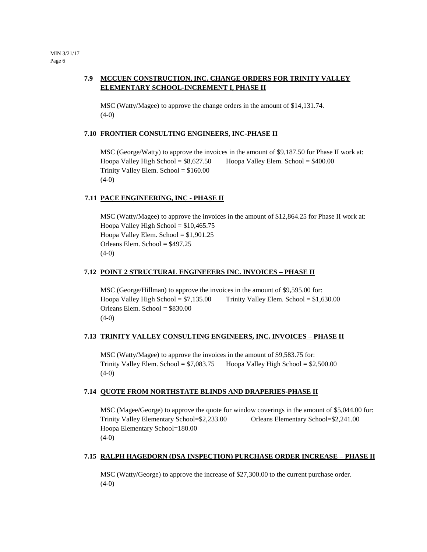## **7.9 MCCUEN CONSTRUCTION, INC. CHANGE ORDERS FOR TRINITY VALLEY ELEMENTARY SCHOOL-INCREMENT I, PHASE II**

MSC (Watty/Magee) to approve the change orders in the amount of \$14,131.74. (4-0)

#### **7.10 FRONTIER CONSULTING ENGINEERS, INC-PHASE II**

MSC (George/Watty) to approve the invoices in the amount of \$9,187.50 for Phase II work at: Hoopa Valley High School = \$8,627.50 Hoopa Valley Elem. School = \$400.00 Trinity Valley Elem. School = \$160.00  $(4-0)$ 

#### **7.11 PACE ENGINEERING, INC - PHASE II**

MSC (Watty/Magee) to approve the invoices in the amount of \$12,864.25 for Phase II work at: Hoopa Valley High School =  $$10,465.75$ Hoopa Valley Elem. School =  $$1,901.25$ Orleans Elem. School = \$497.25  $(4-0)$ 

#### **7.12 POINT 2 STRUCTURAL ENGINEEERS INC. INVOICES – PHASE II**

MSC (George/Hillman) to approve the invoices in the amount of \$9,595.00 for: Hoopa Valley High School =  $$7,135.00$  Trinity Valley Elem. School =  $$1,630.00$ Orleans Elem. School  $= $830.00$ (4-0)

#### **7.13 TRINITY VALLEY CONSULTING ENGINEERS, INC. INVOICES – PHASE II**

MSC (Watty/Magee) to approve the invoices in the amount of \$9,583.75 for: Trinity Valley Elem. School =  $$7,083.75$  Hoopa Valley High School =  $$2,500.00$  $(4-0)$ 

#### **7.14 QUOTE FROM NORTHSTATE BLINDS AND DRAPERIES-PHASE II**

MSC (Magee/George) to approve the quote for window coverings in the amount of \$5,044.00 for: Trinity Valley Elementary School=\$2,233.00 Orleans Elementary School=\$2,241.00 Hoopa Elementary School=180.00 (4-0)

### **7.15 RALPH HAGEDORN (DSA INSPECTION) PURCHASE ORDER INCREASE – PHASE II**

MSC (Watty/George) to approve the increase of \$27,300.00 to the current purchase order.  $(4-0)$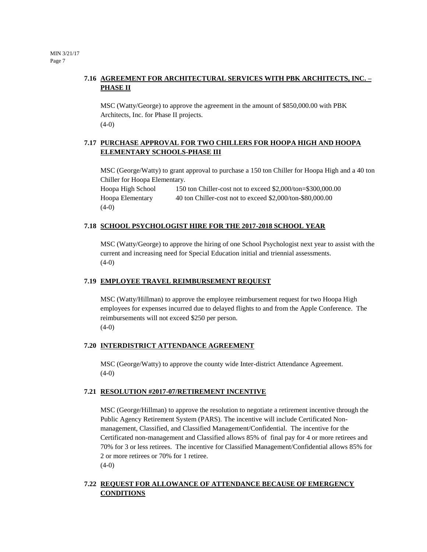## **7.16 AGREEMENT FOR ARCHITECTURAL SERVICES WITH PBK ARCHITECTS, INC. – PHASE II**

MSC (Watty/George) to approve the agreement in the amount of \$850,000.00 with PBK Architects, Inc. for Phase II projects.  $(4-0)$ 

## **7.17 PURCHASE APPROVAL FOR TWO CHILLERS FOR HOOPA HIGH AND HOOPA ELEMENTARY SCHOOLS-PHASE III**

MSC (George/Watty) to grant approval to purchase a 150 ton Chiller for Hoopa High and a 40 ton Chiller for Hoopa Elementary.

Hoopa High School 150 ton Chiller-cost not to exceed \$2,000/ton=\$300,000.00 Hoopa Elementary 40 ton Chiller-cost not to exceed \$2,000/ton-\$80,000.00  $(4-0)$ 

## **7.18 SCHOOL PSYCHOLOGIST HIRE FOR THE 2017-2018 SCHOOL YEAR**

MSC (Watty/George) to approve the hiring of one School Psychologist next year to assist with the current and increasing need for Special Education initial and triennial assessments. (4-0)

#### **7.19 EMPLOYEE TRAVEL REIMBURSEMENT REQUEST**

MSC (Watty/Hillman) to approve the employee reimbursement request for two Hoopa High employees for expenses incurred due to delayed flights to and from the Apple Conference. The reimbursements will not exceed \$250 per person.  $(4-0)$ 

#### **7.20 INTERDISTRICT ATTENDANCE AGREEMENT**

MSC (George/Watty) to approve the county wide Inter-district Attendance Agreement.  $(4-0)$ 

#### **7.21 RESOLUTION #2017-07/RETIREMENT INCENTIVE**

MSC (George/Hillman) to approve the resolution to negotiate a retirement incentive through the Public Agency Retirement System (PARS). The incentive will include Certificated Nonmanagement, Classified, and Classified Management/Confidential. The incentive for the Certificated non-management and Classified allows 85% of final pay for 4 or more retirees and 70% for 3 or less retirees. The incentive for Classified Management/Confidential allows 85% for 2 or more retirees or 70% for 1 retiree.  $(4-0)$ 

## **7.22 REQUEST FOR ALLOWANCE OF ATTENDANCE BECAUSE OF EMERGENCY CONDITIONS**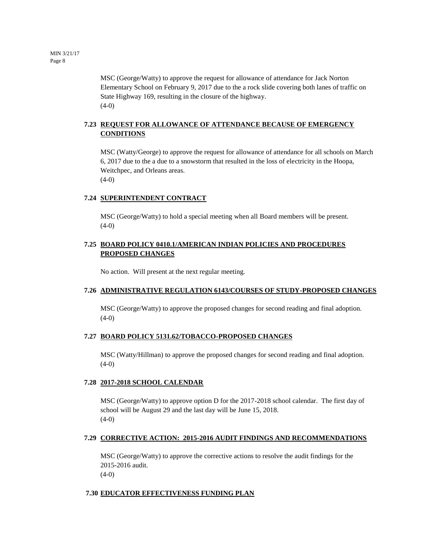MSC (George/Watty) to approve the request for allowance of attendance for Jack Norton Elementary School on February 9, 2017 due to the a rock slide covering both lanes of traffic on State Highway 169, resulting in the closure of the highway. (4-0)

## **7.23 REQUEST FOR ALLOWANCE OF ATTENDANCE BECAUSE OF EMERGENCY CONDITIONS**

MSC (Watty/George) to approve the request for allowance of attendance for all schools on March 6, 2017 due to the a due to a snowstorm that resulted in the loss of electricity in the Hoopa, Weitchpec, and Orleans areas. (4-0)

#### **7.24 SUPERINTENDENT CONTRACT**

MSC (George/Watty) to hold a special meeting when all Board members will be present.  $(4-0)$ 

#### **7.25 BOARD POLICY 0410.1/AMERICAN INDIAN POLICIES AND PROCEDURES PROPOSED CHANGES**

No action. Will present at the next regular meeting.

#### **7.26 ADMINISTRATIVE REGULATION 6143/COURSES OF STUDY-PROPOSED CHANGES**

MSC (George/Watty) to approve the proposed changes for second reading and final adoption. (4-0)

#### **7.27 BOARD POLICY 5131.62/TOBACCO-PROPOSED CHANGES**

MSC (Watty/Hillman) to approve the proposed changes for second reading and final adoption. (4-0)

#### **7.28 2017-2018 SCHOOL CALENDAR**

MSC (George/Watty) to approve option D for the 2017-2018 school calendar. The first day of school will be August 29 and the last day will be June 15, 2018.  $(4-0)$ 

#### **7.29 CORRECTIVE ACTION: 2015-2016 AUDIT FINDINGS AND RECOMMENDATIONS**

MSC (George/Watty) to approve the corrective actions to resolve the audit findings for the 2015-2016 audit.  $(4-0)$ 

#### **7.30 EDUCATOR EFFECTIVENESS FUNDING PLAN**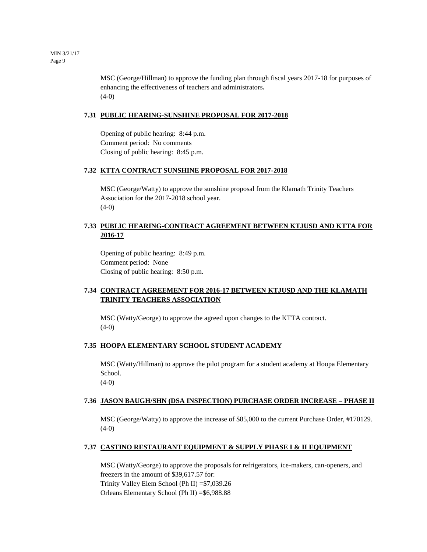MSC (George/Hillman) to approve the funding plan through fiscal years 2017-18 for purposes of enhancing the effectiveness of teachers and administrators**.** (4**-**0)

#### **7.31 PUBLIC HEARING-SUNSHINE PROPOSAL FOR 2017-2018**

Opening of public hearing: 8:44 p.m. Comment period: No comments Closing of public hearing: 8:45 p.m.

#### **7.32 KTTA CONTRACT SUNSHINE PROPOSAL FOR 2017-2018**

MSC (George/Watty) to approve the sunshine proposal from the Klamath Trinity Teachers Association for the 2017-2018 school year.  $(4-0)$ 

## **7.33 PUBLIC HEARING-CONTRACT AGREEMENT BETWEEN KTJUSD AND KTTA FOR 2016-17**

Opening of public hearing: 8:49 p.m. Comment period: None Closing of public hearing: 8:50 p.m.

## **7.34 CONTRACT AGREEMENT FOR 2016-17 BETWEEN KTJUSD AND THE KLAMATH TRINITY TEACHERS ASSOCIATION**

MSC (Watty/George) to approve the agreed upon changes to the KTTA contract.  $(4-0)$ 

#### **7.35 HOOPA ELEMENTARY SCHOOL STUDENT ACADEMY**

MSC (Watty/Hillman) to approve the pilot program for a student academy at Hoopa Elementary School.  $(4-0)$ 

**7.36 JASON BAUGH/SHN (DSA INSPECTION) PURCHASE ORDER INCREASE – PHASE II** 

MSC (George/Watty) to approve the increase of \$85,000 to the current Purchase Order, #170129.  $(4-0)$ 

#### **7.37 CASTINO RESTAURANT EQUIPMENT & SUPPLY PHASE I & II EQUIPMENT**

MSC (Watty/George) to approve the proposals for refrigerators, ice-makers, can-openers, and freezers in the amount of \$39,617.57 for: Trinity Valley Elem School (Ph II) =\$7,039.26 Orleans Elementary School (Ph II) =\$6,988.88